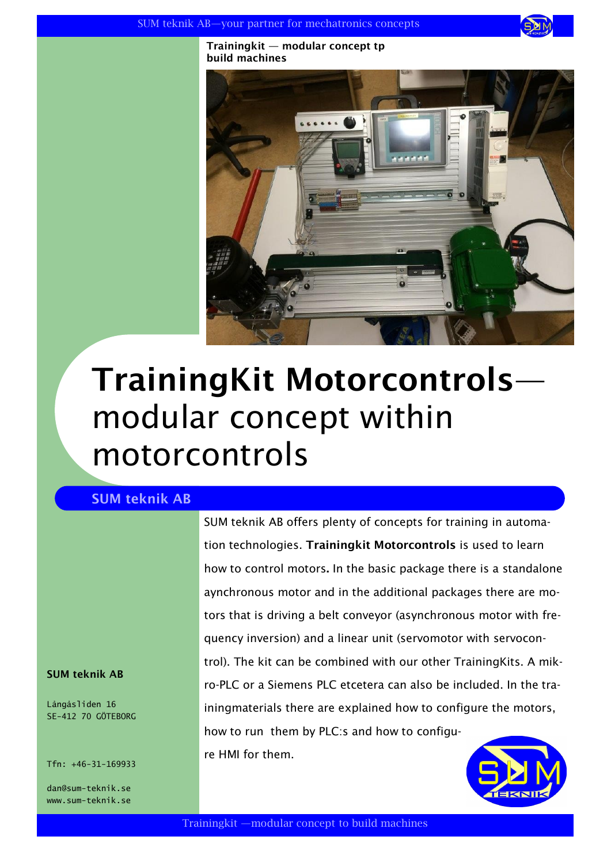

**Trainingkit — modular concept tp build machines**



## **TrainingKit Motorcontrols** modular concept within motorcontrols

## **SUM teknik AB**

SUM teknik AB offers plenty of concepts for training in automation technologies. **Trainingkit Motorcontrols** is used to learn how to control motors**.** In the basic package there is a standalone aynchronous motor and in the additional packages there are motors that is driving a belt conveyor (asynchronous motor with frequency inversion) and a linear unit (servomotor with servocontrol). The kit can be combined with our other TrainingKits. A mikro-PLC or a Siemens PLC etcetera can also be included. In the trainingmaterials there are explained how to configure the motors, how to run them by PLC:s and how to configure HMI for them.

**SUM teknik AB**

Långåsliden 16 SE-412 70 GÖTEBORG

Tfn: +46-31-169933

dan@sum-teknik.se www.sum-teknik.se